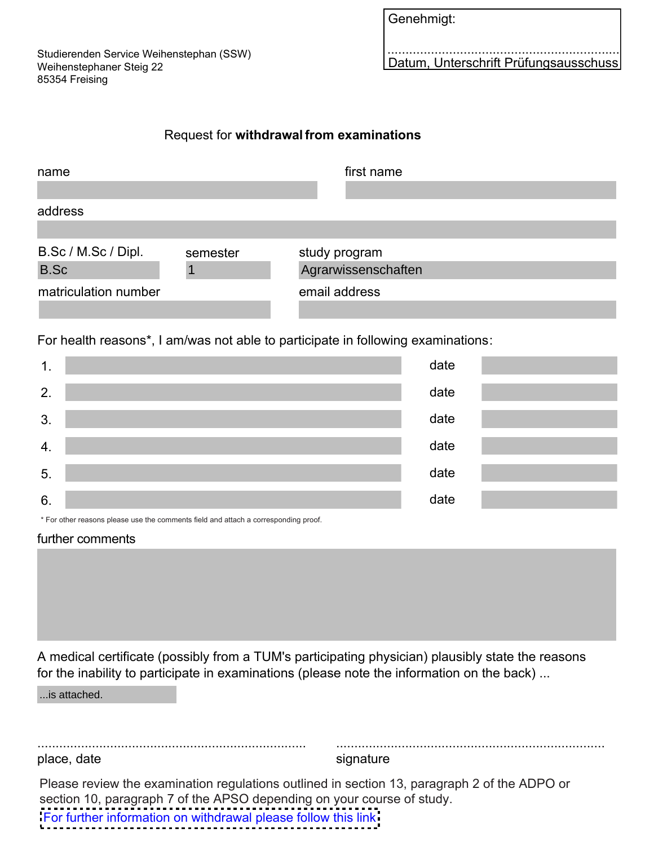Studierenden Service Weihenstephan (SSW) Weihenstephaner Steig 22 85354 Freising

| Genehmigt: |  |
|------------|--|
|            |  |

................................................................ Datum, Unterschrift Prüfungsausschuss

## Request for **withdrawal from examinations**

| name                 |          | first name          |
|----------------------|----------|---------------------|
| address              |          |                     |
| B.Sc / M.Sc / Dipl.  | semester | study program       |
| <b>B.Sc</b>          |          | Agrarwissenschaften |
| matriculation number |          | email address       |

For health reasons\*, I am/was not able to participate in following examinations:

| $\mathbf 1$ . | date |
|---------------|------|
| 2.            | date |
| 3.            | date |
| 4.            | date |
| 5.            | date |
| 6.            | date |

\* For other reasons please use the comments field and attach a corresponding proof.

## further comments

A medical certificate (possibly from a TUM's participating physician) plausibly state the reasons for the inability to participate in examinations (please note the information on the back) ...

...is attached.

.......................................................................... place, date

signature

..........................................................................

Please review the examination regulations outlined in section 13, paragraph 2 of the ADPO or section 10, paragraph 7 of the APSO depending on your course of study.

[For further information on withdrawal please follow this link](https://www.tum.de/en/studies/during-your-studies/examinations/withdrawing-from-examinations-medical-certificates/)